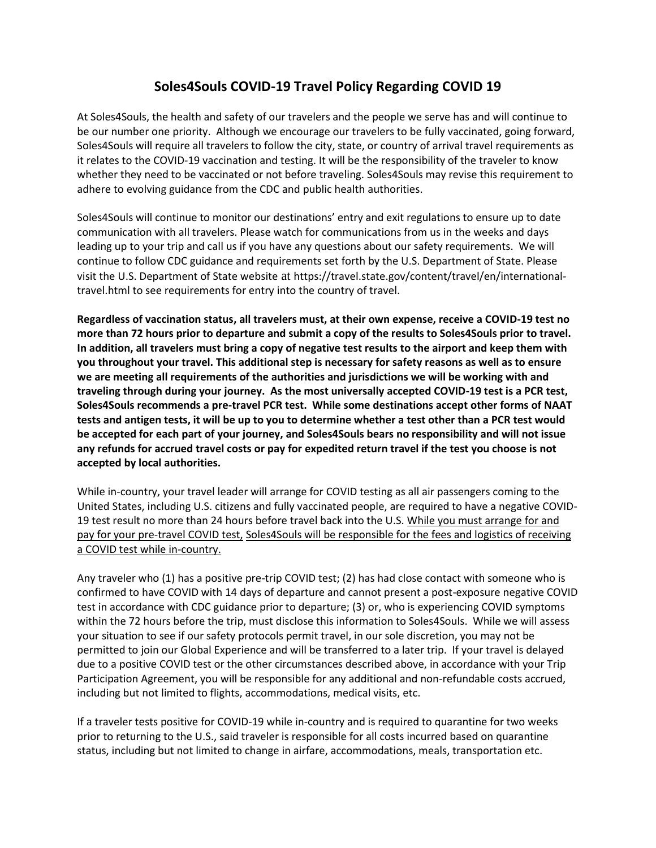## **Soles4Souls COVID-19 Travel Policy Regarding COVID 19**

At Soles4Souls, the health and safety of our travelers and the people we serve has and will continue to be our number one priority. Although we encourage our travelers to be fully vaccinated, going forward, Soles4Souls will require all travelers to follow the city, state, or country of arrival travel requirements as it relates to the COVID-19 vaccination and testing. It will be the responsibility of the traveler to know whether they need to be vaccinated or not before traveling. Soles4Souls may revise this requirement to adhere to evolving guidance from the CDC and public health authorities.

Soles4Souls will continue to monitor our destinations' entry and exit regulations to ensure up to date communication with all travelers. Please watch for communications from us in the weeks and days leading up to your trip and call us if you have any questions about our safety requirements. We will continue to follow CDC guidance and requirements set forth by the U.S. Department of State. Please visit the U.S. Department of State website at https://travel.state.gov/content/travel/en/internationaltravel.html to see requirements for entry into the country of travel.

**Regardless of vaccination status, all travelers must, at their own expense, receive a COVID-19 test no more than 72 hours prior to departure and submit a copy of the results to Soles4Souls prior to travel. In addition, all travelers must bring a copy of negative test results to the airport and keep them with you throughout your travel. This additional step is necessary for safety reasons as well as to ensure we are meeting all requirements of the authorities and jurisdictions we will be working with and traveling through during your journey. As the most universally accepted COVID-19 test is a PCR test, Soles4Souls recommends a pre-travel PCR test. While some destinations accept other forms of NAAT tests and antigen tests, it will be up to you to determine whether a test other than a PCR test would be accepted for each part of your journey, and Soles4Souls bears no responsibility and will not issue any refunds for accrued travel costs or pay for expedited return travel if the test you choose is not accepted by local authorities.** 

While in-country, your travel leader will arrange for COVID testing as all air passengers coming to the United States, including U.S. citizens and fully vaccinated people, are required to have a negative COVID-19 test result no more than 24 hours before travel back into the U.S. While you must arrange for and pay for your pre-travel COVID test, Soles4Souls will be responsible for the fees and logistics of receiving a COVID test while in-country.

Any traveler who (1) has a positive pre-trip COVID test; (2) has had close contact with someone who is confirmed to have COVID with 14 days of departure and cannot present a post-exposure negative COVID test in accordance with CDC guidance prior to departure; (3) or, who is experiencing COVID symptoms within the 72 hours before the trip, must disclose this information to Soles4Souls. While we will assess your situation to see if our safety protocols permit travel, in our sole discretion, you may not be permitted to join our Global Experience and will be transferred to a later trip. If your travel is delayed due to a positive COVID test or the other circumstances described above, in accordance with your Trip Participation Agreement, you will be responsible for any additional and non-refundable costs accrued, including but not limited to flights, accommodations, medical visits, etc.

If a traveler tests positive for COVID-19 while in-country and is required to quarantine for two weeks prior to returning to the U.S., said traveler is responsible for all costs incurred based on quarantine status, including but not limited to change in airfare, accommodations, meals, transportation etc.